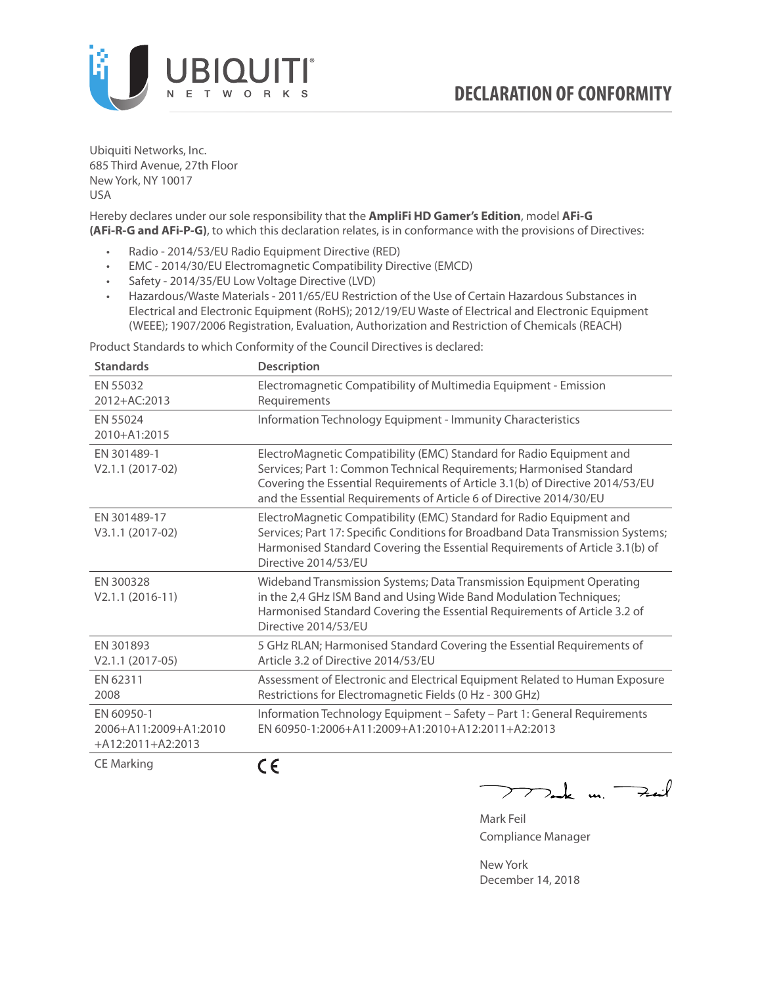

Ubiquiti Networks, Inc. 685 Third Avenue, 27th Floor New York, NY 10017 USA

Hereby declares under our sole responsibility that the **AmpliFi HD Gamer's Edition**, model **AFi-G (AFi-R-G and AFi-P-G)**, to which this declaration relates, is in conformance with the provisions of Directives:

- Radio 2014/53/EU Radio Equipment Directive (RED)
- EMC 2014/30/EU Electromagnetic Compatibility Directive (EMCD)
- Safety 2014/35/EU Low Voltage Directive (LVD)
- Hazardous/Waste Materials 2011/65/EU Restriction of the Use of Certain Hazardous Substances in Electrical and Electronic Equipment (RoHS); 2012/19/EU Waste of Electrical and Electronic Equipment (WEEE); 1907/2006 Registration, Evaluation, Authorization and Restriction of Chemicals (REACH)

Product Standards to which Conformity of the Council Directives is declared:

| <b>Standards</b>                                           | <b>Description</b>                                                                                                                                                                                                                                                                                   |
|------------------------------------------------------------|------------------------------------------------------------------------------------------------------------------------------------------------------------------------------------------------------------------------------------------------------------------------------------------------------|
| EN 55032<br>2012+AC:2013                                   | Electromagnetic Compatibility of Multimedia Equipment - Emission<br>Requirements                                                                                                                                                                                                                     |
| EN 55024<br>2010+A1:2015                                   | Information Technology Equipment - Immunity Characteristics                                                                                                                                                                                                                                          |
| EN 301489-1<br>V2.1.1 (2017-02)                            | ElectroMagnetic Compatibility (EMC) Standard for Radio Equipment and<br>Services; Part 1: Common Technical Requirements; Harmonised Standard<br>Covering the Essential Requirements of Article 3.1(b) of Directive 2014/53/EU<br>and the Essential Requirements of Article 6 of Directive 2014/30/EU |
| EN 301489-17<br>V3.1.1 (2017-02)                           | ElectroMagnetic Compatibility (EMC) Standard for Radio Equipment and<br>Services; Part 17: Specific Conditions for Broadband Data Transmission Systems;<br>Harmonised Standard Covering the Essential Requirements of Article 3.1(b) of<br>Directive 2014/53/EU                                      |
| EN 300328<br>$V2.1.1 (2016-11)$                            | Wideband Transmission Systems; Data Transmission Equipment Operating<br>in the 2,4 GHz ISM Band and Using Wide Band Modulation Techniques;<br>Harmonised Standard Covering the Essential Requirements of Article 3.2 of<br>Directive 2014/53/EU                                                      |
| EN 301893<br>$V2.1.1 (2017-05)$                            | 5 GHz RLAN; Harmonised Standard Covering the Essential Requirements of<br>Article 3.2 of Directive 2014/53/EU                                                                                                                                                                                        |
| EN 62311<br>2008                                           | Assessment of Electronic and Electrical Equipment Related to Human Exposure<br>Restrictions for Electromagnetic Fields (0 Hz - 300 GHz)                                                                                                                                                              |
| EN 60950-1<br>2006+A11:2009+A1:2010<br>$+A12:2011+A2:2013$ | Information Technology Equipment - Safety - Part 1: General Requirements<br>EN 60950-1:2006+A11:2009+A1:2010+A12:2011+A2:2013                                                                                                                                                                        |
| $C = M \cdot 1$                                            | - -                                                                                                                                                                                                                                                                                                  |

CE Marking

CE

 $-k$  un  $\rightarrow$  $\overline{\phantom{a}}$ 

Mark Feil Compliance Manager

New York December 14, 2018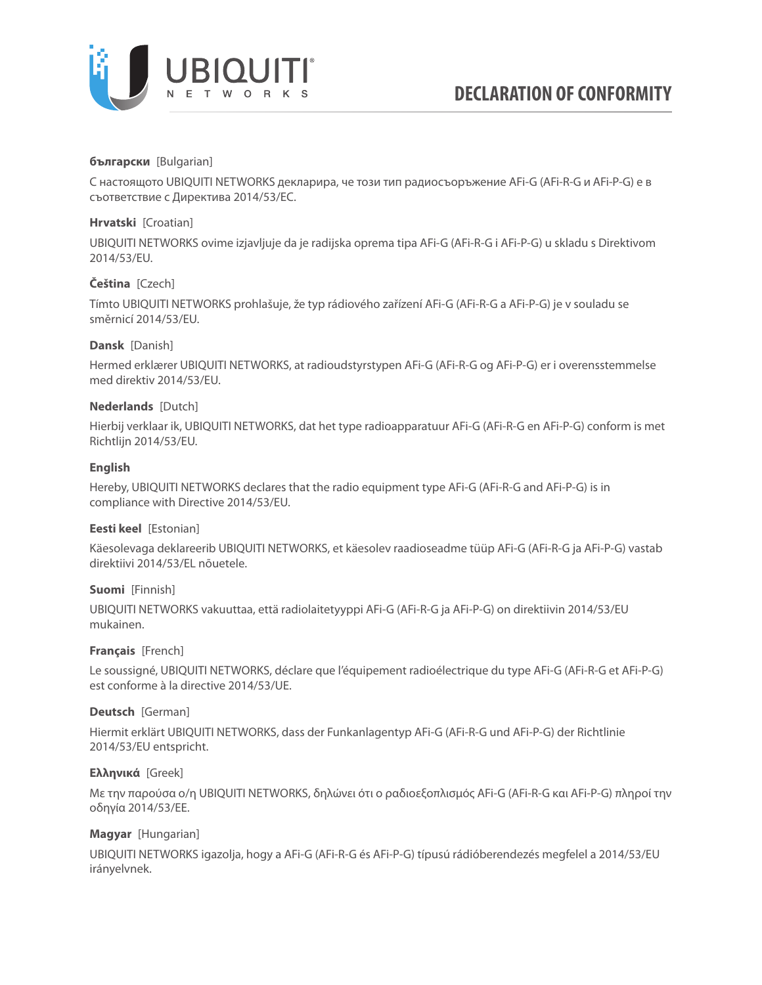

### **български** [Bulgarian]

С настоящото UBIQUITI NETWORKS декларира, че този тип радиосъоръжение AFi-G (AFi-R-G и AFi-P-G) е в съответствие с Директива 2014/53/ЕС.

### **Hrvatski** [Croatian]

UBIQUITI NETWORKS ovime izjavljuje da je radijska oprema tipa AFi-G (AFi-R-G i AFi-P-G) u skladu s Direktivom 2014/53/EU.

# **Čeština** [Czech]

Tímto UBIQUITI NETWORKS prohlašuje, že typ rádiového zařízení AFi-G (AFi-R-G a AFi-P-G) je v souladu se směrnicí 2014/53/EU.

### **Dansk** [Danish]

Hermed erklærer UBIQUITI NETWORKS, at radioudstyrstypen AFi-G (AFi-R-G og AFi-P-G) er i overensstemmelse med direktiv 2014/53/EU.

### **Nederlands** [Dutch]

Hierbij verklaar ik, UBIQUITI NETWORKS, dat het type radioapparatuur AFi-G (AFi-R-G en AFi-P-G) conform is met Richtlijn 2014/53/EU.

# **English**

Hereby, UBIQUITI NETWORKS declares that the radio equipment type AFi-G (AFi-R-G and AFi-P-G) is in compliance with Directive 2014/53/EU.

### **Eesti keel** [Estonian]

Käesolevaga deklareerib UBIQUITI NETWORKS, et käesolev raadioseadme tüüp AFi-G (AFi-R-G ja AFi-P-G) vastab direktiivi 2014/53/EL nõuetele.

### **Suomi** [Finnish]

UBIQUITI NETWORKS vakuuttaa, että radiolaitetyyppi AFi-G (AFi-R-G ja AFi-P-G) on direktiivin 2014/53/EU mukainen.

### **Français** [French]

Le soussigné, UBIQUITI NETWORKS, déclare que l'équipement radioélectrique du type AFi-G (AFi-R-G et AFi-P-G) est conforme à la directive 2014/53/UE.

### **Deutsch** [German]

Hiermit erklärt UBIQUITI NETWORKS, dass der Funkanlagentyp AFi-G (AFi-R-G und AFi-P-G) der Richtlinie 2014/53/EU entspricht.

### **Ελληνικά** [Greek]

Με την παρούσα ο/η UBIQUITI NETWORKS, δηλώνει ότι ο ραδιοεξοπλισμός AFi-G (AFi-R-G και AFi-P-G) πληροί την οδηγία 2014/53/ΕΕ.

### **Magyar** [Hungarian]

UBIQUITI NETWORKS igazolja, hogy a AFi-G (AFi-R-G és AFi-P-G) típusú rádióberendezés megfelel a 2014/53/EU irányelvnek.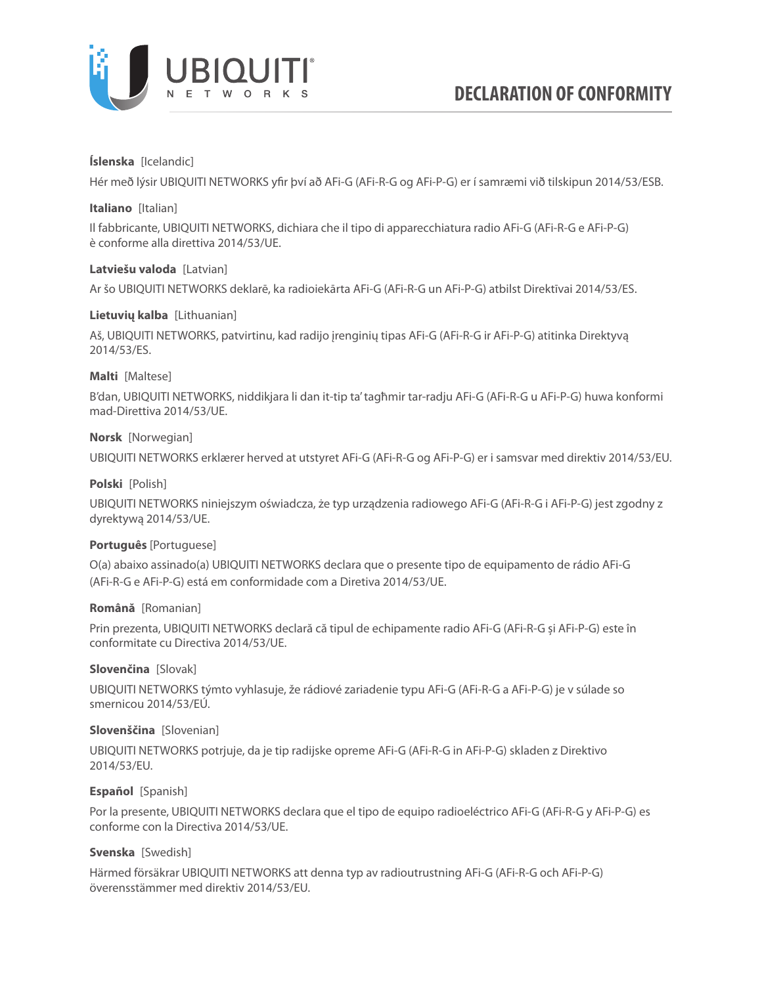

### **Íslenska** [Icelandic]

Hér með lýsir UBIQUITI NETWORKS yfir því að AFi-G (AFi-R-G og AFi-P-G) er í samræmi við tilskipun 2014/53/ESB.

### **Italiano** [Italian]

Il fabbricante, UBIQUITI NETWORKS, dichiara che il tipo di apparecchiatura radio AFi-G (AFi-R-G e AFi-P-G) è conforme alla direttiva 2014/53/UE.

### **Latviešu valoda** [Latvian]

Ar šo UBIQUITI NETWORKS deklarē, ka radioiekārta AFi-G (AFi-R-G un AFi-P-G) atbilst Direktīvai 2014/53/ES.

# **Lietuvių kalba** [Lithuanian]

Aš, UBIQUITI NETWORKS, patvirtinu, kad radijo įrenginių tipas AFi-G (AFi-R-G ir AFi-P-G) atitinka Direktyvą 2014/53/ES.

# **Malti** [Maltese]

B'dan, UBIQUITI NETWORKS, niddikjara li dan it-tip ta' tagħmir tar-radju AFi-G (AFi-R-G u AFi-P-G) huwa konformi mad-Direttiva 2014/53/UE.

# **Norsk** [Norwegian]

UBIQUITI NETWORKS erklærer herved at utstyret AFi-G (AFi-R-G og AFi-P-G) er i samsvar med direktiv 2014/53/EU.

# **Polski** [Polish]

UBIQUITI NETWORKS niniejszym oświadcza, że typ urządzenia radiowego AFi-G (AFi-R-G i AFi-P-G) jest zgodny z dyrektywą 2014/53/UE.

### **Português** [Portuguese]

O(a) abaixo assinado(a) UBIQUITI NETWORKS declara que o presente tipo de equipamento de rádio AFi-G (AFi-R-G e AFi-P-G) está em conformidade com a Diretiva 2014/53/UE.

### **Română** [Romanian]

Prin prezenta, UBIQUITI NETWORKS declară că tipul de echipamente radio AFi-G (AFi-R-G și AFi-P-G) este în conformitate cu Directiva 2014/53/UE.

### **Slovenčina** [Slovak]

UBIQUITI NETWORKS týmto vyhlasuje, že rádiové zariadenie typu AFi-G (AFi-R-G a AFi-P-G) je v súlade so smernicou 2014/53/EÚ.

### **Slovenščina** [Slovenian]

UBIQUITI NETWORKS potrjuje, da je tip radijske opreme AFi-G (AFi-R-G in AFi-P-G) skladen z Direktivo 2014/53/EU.

### **Español** [Spanish]

Por la presente, UBIQUITI NETWORKS declara que el tipo de equipo radioeléctrico AFi-G (AFi-R-G y AFi-P-G) es conforme con la Directiva 2014/53/UE.

### **Svenska** [Swedish]

Härmed försäkrar UBIQUITI NETWORKS att denna typ av radioutrustning AFi-G (AFi-R-G och AFi-P-G) överensstämmer med direktiv 2014/53/EU.